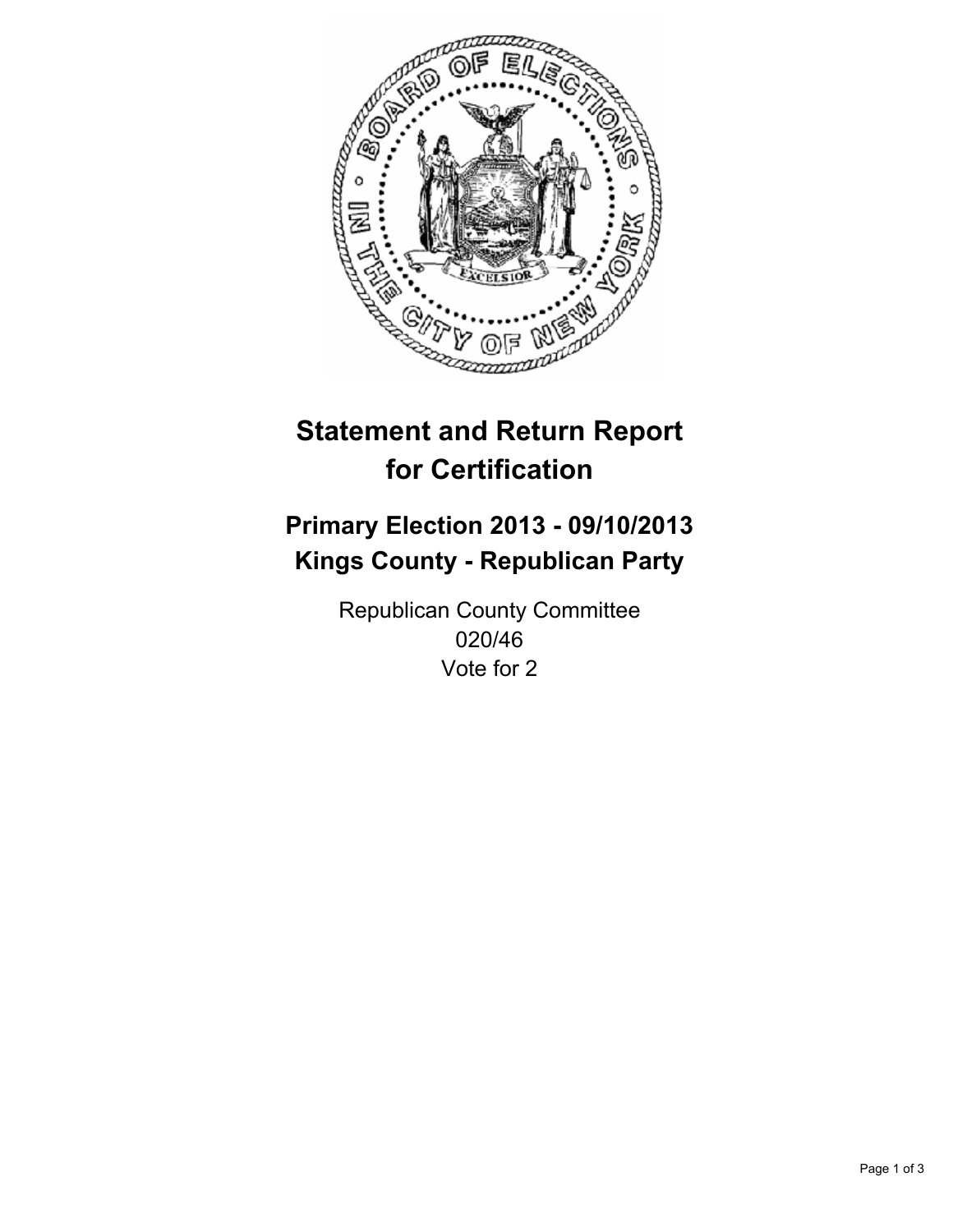

# **Statement and Return Report for Certification**

# **Primary Election 2013 - 09/10/2013 Kings County - Republican Party**

Republican County Committee 020/46 Vote for 2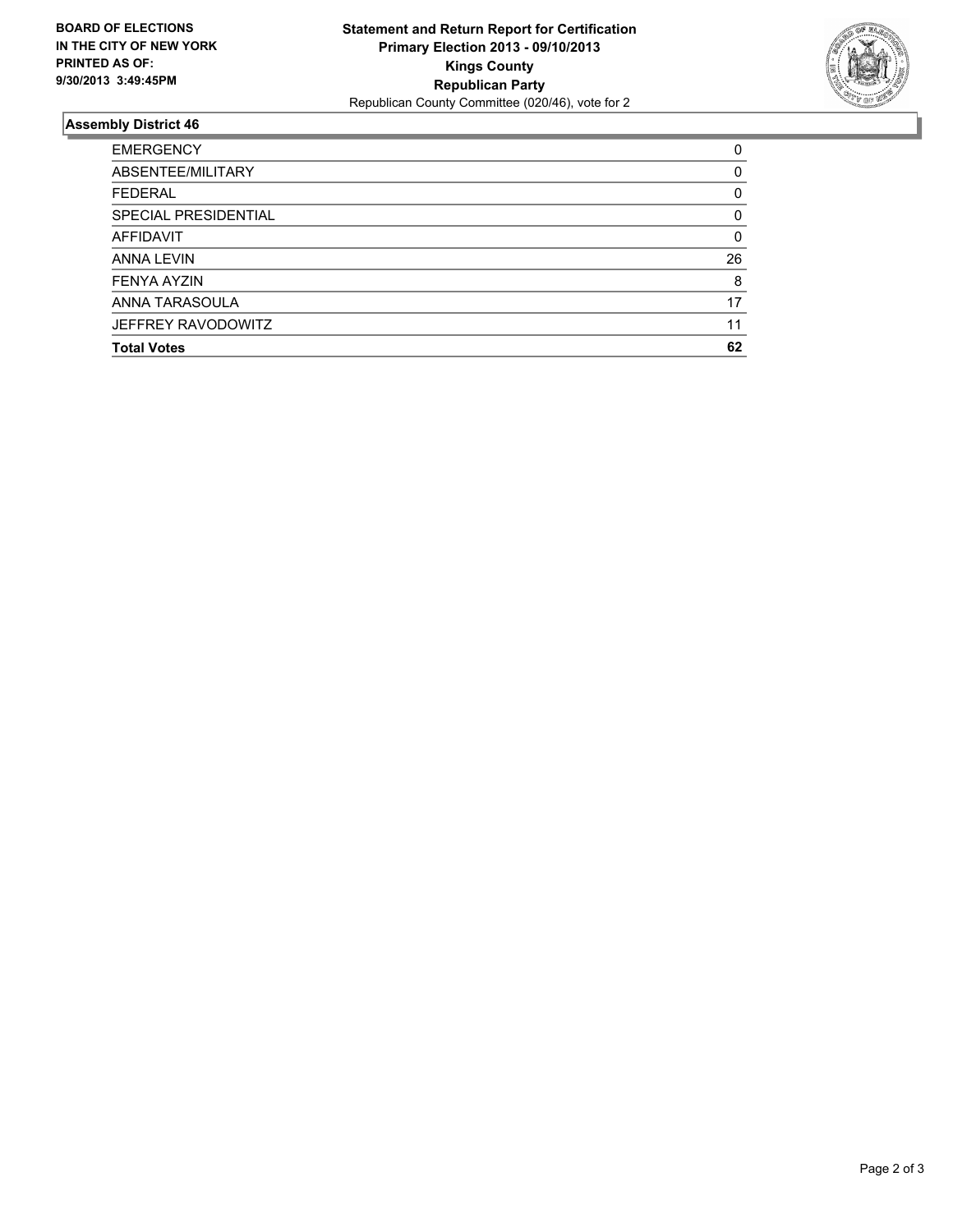

## **Assembly District 46**

| 0        |
|----------|
| $\Omega$ |
| 0        |
| $\Omega$ |
| 0        |
| 26       |
| 8        |
| 17       |
| 11       |
| 62       |
|          |